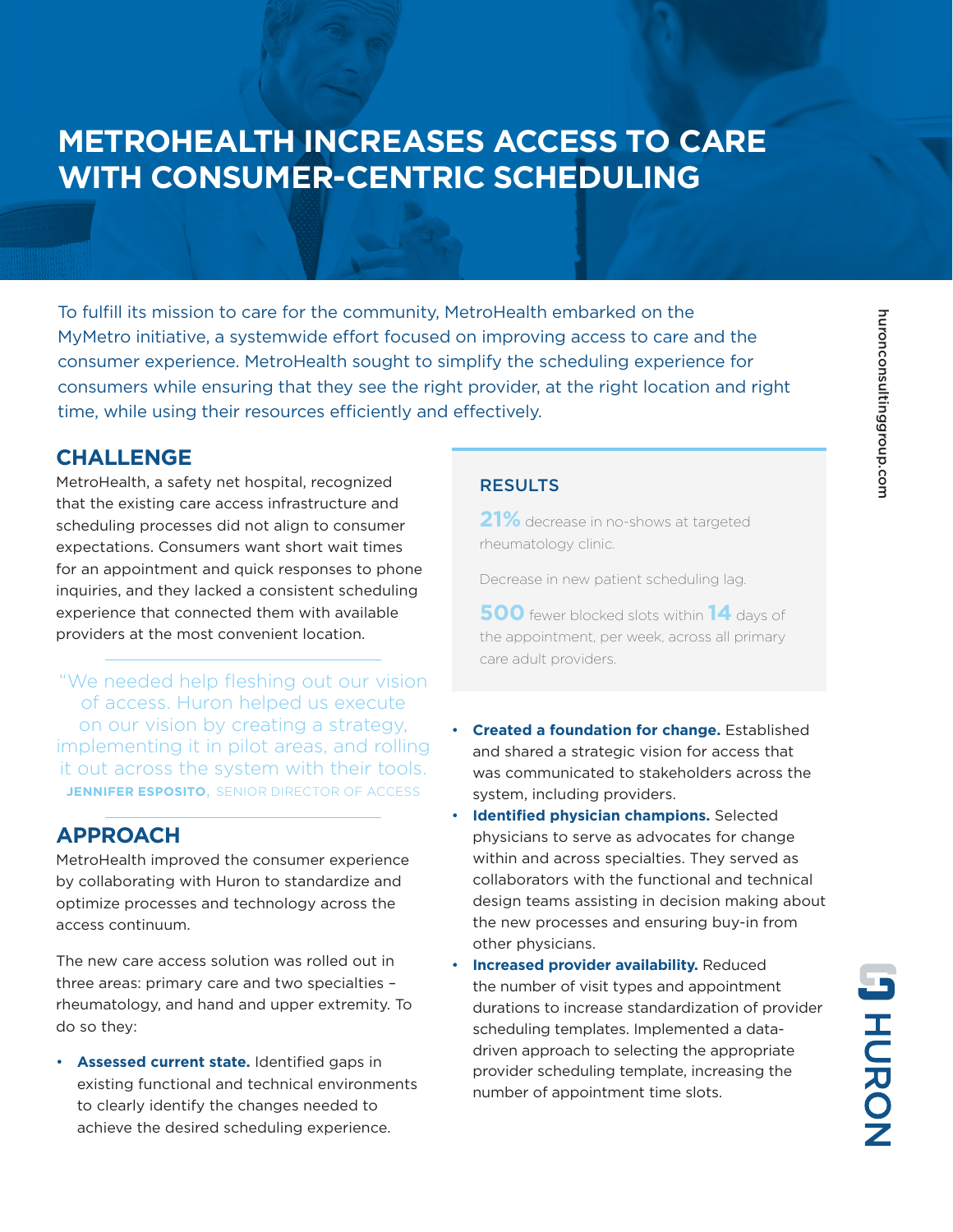## **METROHEALTH INCREASES ACCESS TO CARE WITH CONSUMER-CENTRIC SCHEDULING**

To fulfill its mission to care for the community, MetroHealth embarked on the MyMetro initiative, a systemwide effort focused on improving access to care and the consumer experience. MetroHealth sought to simplify the scheduling experience for consumers while ensuring that they see the right provider, at the right location and right time, while using their resources efficiently and effectively.

### **CHALLENGE**

MetroHealth, a safety net hospital, recognized that the existing care access infrastructure and scheduling processes did not align to consumer expectations. Consumers want short wait times for an appointment and quick responses to phone inquiries, and they lacked a consistent scheduling experience that connected them with available providers at the most convenient location.

"We needed help fleshing out our vision of access. Huron helped us execute on our vision by creating a strategy, implementing it in pilot areas, and rolling it out across the system with their tools. **JENNIFER ESPOSITO**, SENIOR DIRECTOR OF ACCESS

## **APPROACH**

MetroHealth improved the consumer experience by collaborating with Huron to standardize and optimize processes and technology across the access continuum.

The new care access solution was rolled out in three areas: primary care and two specialties – rheumatology, and hand and upper extremity. To do so they:

• **Assessed current state.** Identified gaps in existing functional and technical environments to clearly identify the changes needed to achieve the desired scheduling experience.

#### **RESULTS**

**21%** decrease in no-shows at targeted rheumatology clinic.

Decrease in new patient scheduling lag.

**500** fewer blocked slots within **14** days of the appointment, per week, across all primary care adult providers.

- **Created a foundation for change.** Established and shared a strategic vision for access that was communicated to stakeholders across the system, including providers.
- **Identified physician champions.** Selected physicians to serve as advocates for change within and across specialties. They served as collaborators with the functional and technical design teams assisting in decision making about the new processes and ensuring buy-in from other physicians.
- **Increased provider availability.** Reduced the number of visit types and appointment durations to increase standardization of provider scheduling templates. Implemented a datadriven approach to selecting the appropriate provider scheduling template, increasing the number of appointment time slots.

**JHORON**